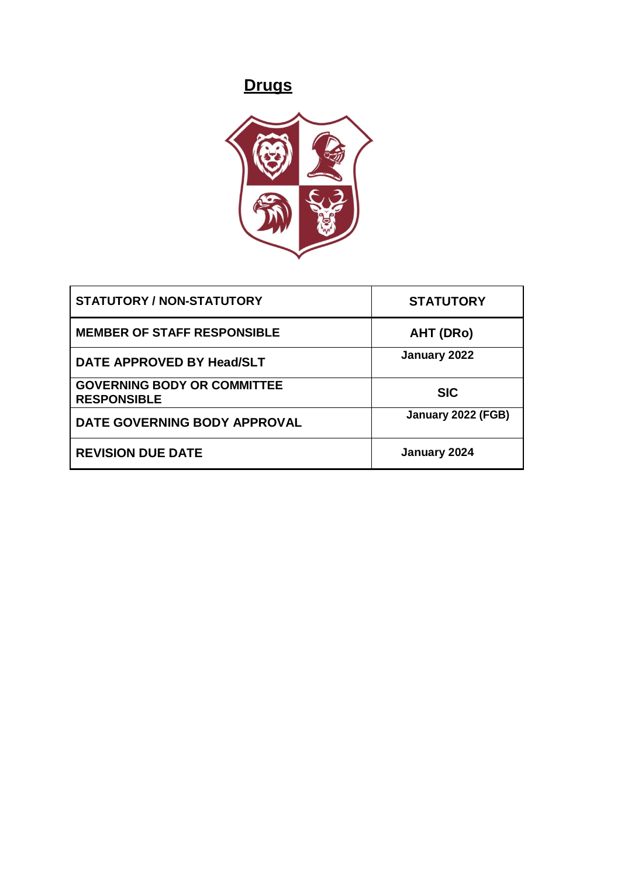# **Drugs**



| <b>STATUTORY / NON-STATUTORY</b>                         | <b>STATUTORY</b>   |
|----------------------------------------------------------|--------------------|
| <b>MEMBER OF STAFF RESPONSIBLE</b>                       | AHT (DRo)          |
| DATE APPROVED BY Head/SLT                                | January 2022       |
| <b>GOVERNING BODY OR COMMITTEE</b><br><b>RESPONSIBLE</b> | <b>SIC</b>         |
| DATE GOVERNING BODY APPROVAL                             | January 2022 (FGB) |
| <b>REVISION DUE DATE</b>                                 | January 2024       |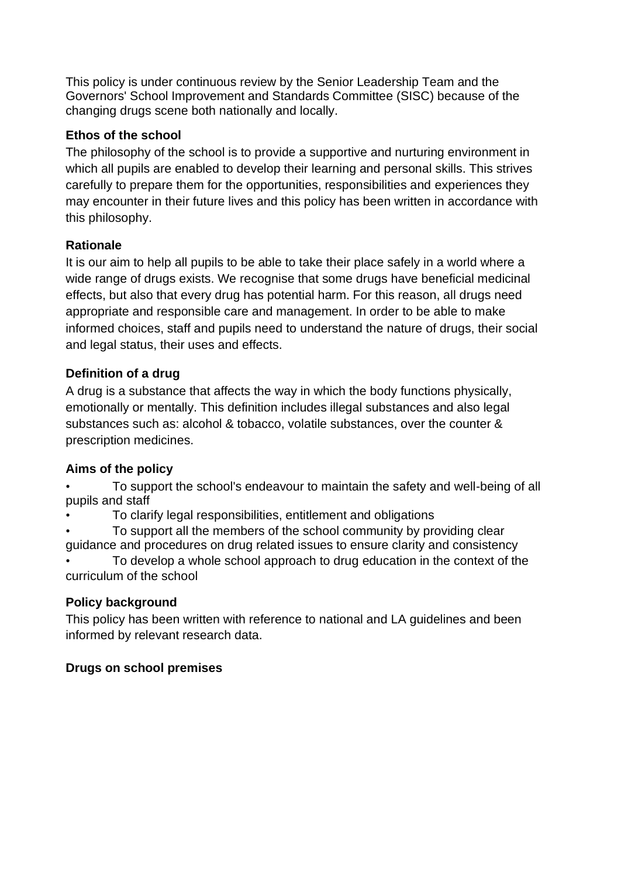This policy is under continuous review by the Senior Leadership Team and the Governors' School Improvement and Standards Committee (SISC) because of the changing drugs scene both nationally and locally.

# **Ethos of the school**

The philosophy of the school is to provide a supportive and nurturing environment in which all pupils are enabled to develop their learning and personal skills. This strives carefully to prepare them for the opportunities, responsibilities and experiences they may encounter in their future lives and this policy has been written in accordance with this philosophy.

# **Rationale**

It is our aim to help all pupils to be able to take their place safely in a world where a wide range of drugs exists. We recognise that some drugs have beneficial medicinal effects, but also that every drug has potential harm. For this reason, all drugs need appropriate and responsible care and management. In order to be able to make informed choices, staff and pupils need to understand the nature of drugs, their social and legal status, their uses and effects.

# **Definition of a drug**

A drug is a substance that affects the way in which the body functions physically, emotionally or mentally. This definition includes illegal substances and also legal substances such as: alcohol & tobacco, volatile substances, over the counter & prescription medicines.

# **Aims of the policy**

• To support the school's endeavour to maintain the safety and well-being of all pupils and staff

• To clarify legal responsibilities, entitlement and obligations

• To support all the members of the school community by providing clear guidance and procedures on drug related issues to ensure clarity and consistency

• To develop a whole school approach to drug education in the context of the curriculum of the school

# **Policy background**

This policy has been written with reference to national and LA guidelines and been informed by relevant research data.

## **Drugs on school premises**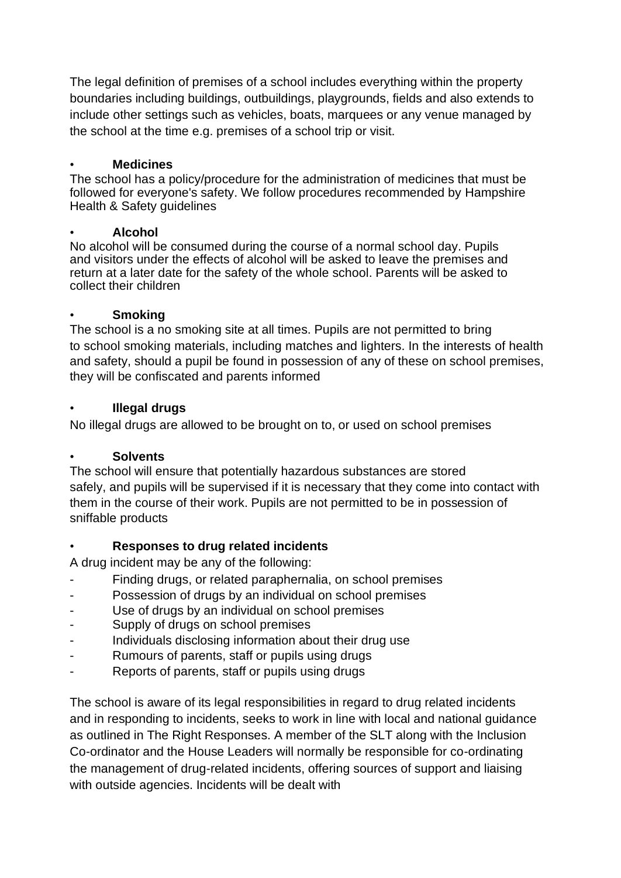The legal definition of premises of a school includes everything within the property boundaries including buildings, outbuildings, playgrounds, fields and also extends to include other settings such as vehicles, boats, marquees or any venue managed by the school at the time e.g. premises of a school trip or visit.

#### • **Medicines**

The school has a policy/procedure for the administration of medicines that must be followed for everyone's safety. We follow procedures recommended by Hampshire Health & Safety guidelines

#### • **Alcohol**

No alcohol will be consumed during the course of a normal school day. Pupils and visitors under the effects of alcohol will be asked to leave the premises and return at a later date for the safety of the whole school. Parents will be asked to collect their children

#### • **Smoking**

The school is a no smoking site at all times. Pupils are not permitted to bring to school smoking materials, including matches and lighters. In the interests of health and safety, should a pupil be found in possession of any of these on school premises, they will be confiscated and parents informed

#### • **Illegal drugs**

No illegal drugs are allowed to be brought on to, or used on school premises

## • **Solvents**

The school will ensure that potentially hazardous substances are stored safely, and pupils will be supervised if it is necessary that they come into contact with them in the course of their work. Pupils are not permitted to be in possession of sniffable products

## • **Responses to drug related incidents**

A drug incident may be any of the following:

- Finding drugs, or related paraphernalia, on school premises
- Possession of drugs by an individual on school premises
- Use of drugs by an individual on school premises
- Supply of drugs on school premises
- Individuals disclosing information about their drug use
- Rumours of parents, staff or pupils using drugs
- Reports of parents, staff or pupils using drugs

The school is aware of its legal responsibilities in regard to drug related incidents and in responding to incidents, seeks to work in line with local and national guidance as outlined in The Right Responses. A member of the SLT along with the Inclusion Co-ordinator and the House Leaders will normally be responsible for co-ordinating the management of drug-related incidents, offering sources of support and liaising with outside agencies. Incidents will be dealt with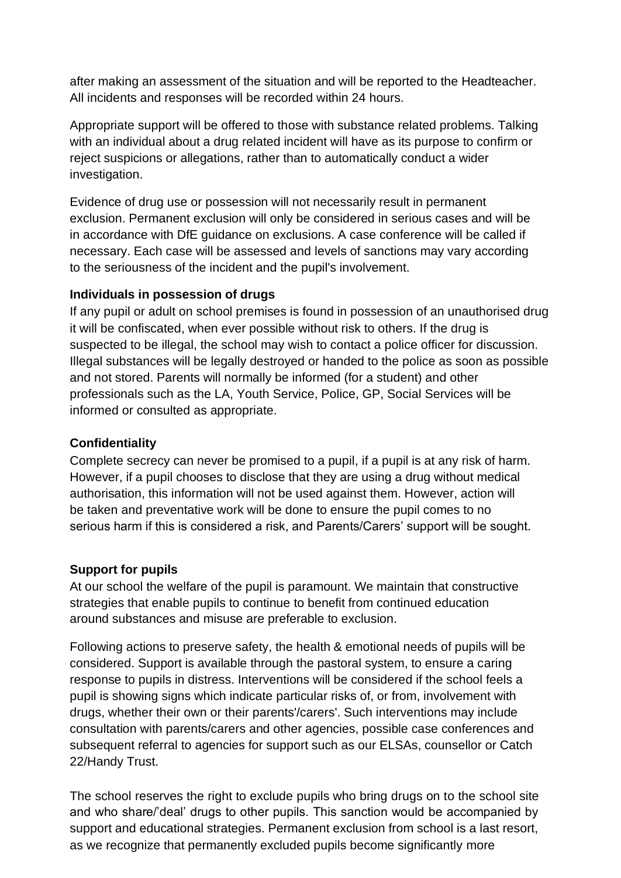after making an assessment of the situation and will be reported to the Headteacher. All incidents and responses will be recorded within 24 hours.

Appropriate support will be offered to those with substance related problems. Talking with an individual about a drug related incident will have as its purpose to confirm or reject suspicions or allegations, rather than to automatically conduct a wider investigation.

Evidence of drug use or possession will not necessarily result in permanent exclusion. Permanent exclusion will only be considered in serious cases and will be in accordance with DfE guidance on exclusions. A case conference will be called if necessary. Each case will be assessed and levels of sanctions may vary according to the seriousness of the incident and the pupil's involvement.

## **Individuals in possession of drugs**

If any pupil or adult on school premises is found in possession of an unauthorised drug it will be confiscated, when ever possible without risk to others. If the drug is suspected to be illegal, the school may wish to contact a police officer for discussion. Illegal substances will be legally destroyed or handed to the police as soon as possible and not stored. Parents will normally be informed (for a student) and other professionals such as the LA, Youth Service, Police, GP, Social Services will be informed or consulted as appropriate.

# **Confidentiality**

Complete secrecy can never be promised to a pupil, if a pupil is at any risk of harm. However, if a pupil chooses to disclose that they are using a drug without medical authorisation, this information will not be used against them. However, action will be taken and preventative work will be done to ensure the pupil comes to no serious harm if this is considered a risk, and Parents/Carers' support will be sought.

## **Support for pupils**

At our school the welfare of the pupil is paramount. We maintain that constructive strategies that enable pupils to continue to benefit from continued education around substances and misuse are preferable to exclusion.

Following actions to preserve safety, the health & emotional needs of pupils will be considered. Support is available through the pastoral system, to ensure a caring response to pupils in distress. Interventions will be considered if the school feels a pupil is showing signs which indicate particular risks of, or from, involvement with drugs, whether their own or their parents'/carers'. Such interventions may include consultation with parents/carers and other agencies, possible case conferences and subsequent referral to agencies for support such as our ELSAs, counsellor or Catch 22/Handy Trust.

The school reserves the right to exclude pupils who bring drugs on to the school site and who share/'deal' drugs to other pupils. This sanction would be accompanied by support and educational strategies. Permanent exclusion from school is a last resort, as we recognize that permanently excluded pupils become significantly more